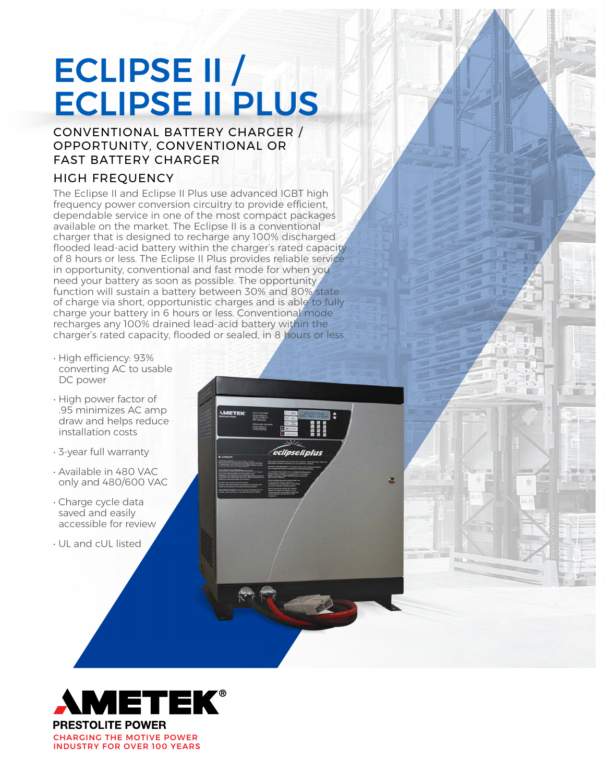# ECLIPSE II / ECLIPSE II PLUS

## CONVENTIONAL BATTERY CHARGER / OPPORTUNITY, CONVENTIONAL OR FAST BATTERY CHARGER

# HIGH FREQUENCY

The Eclipse II and Eclipse II Plus use advanced IGBT high frequency power conversion circuitry to provide efficient, dependable service in one of the most compact packages available on the market. The Eclipse II is a conventional charger that is designed to recharge any 100% discharged flooded lead-acid battery within the charger's rated capacity of 8 hours or less. The Eclipse II Plus provides reliable service in opportunity, conventional and fast mode for when you need your battery as soon as possible. The opportunity function will sustain a battery between 30% and 80% state of charge via short, opportunistic charges and is able to fully charge your battery in 6 hours or less. Conventional mode recharges any 100% drained lead-acid battery within the charger's rated capacity, flooded or sealed, in 8 hours or less.

- High efficiency: 93% converting AC to usable DC power
- High power factor of .95 minimizes AC amp draw and helps reduce installation costs
- 3-year full warranty
- Available in 480 VAC only and 480/600 VAC
- Charge cycle data saved and easily accessible for review
- UL and cUL listed



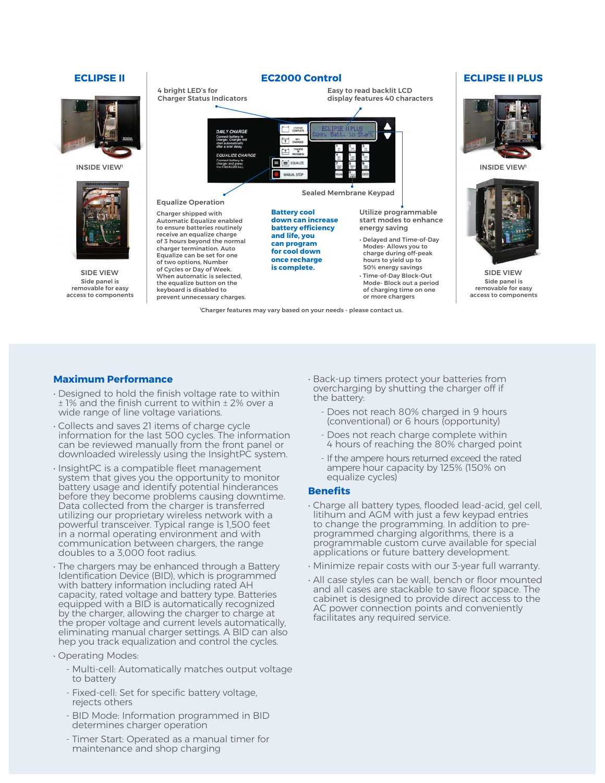



Side panel is removable for easy access to components



1 Charger features may vary based on your needs - please contact us.



Side panel is removable for easy access to components

### **Maximum Performance**

- Designed to hold the finish voltage rate to within ± 1% and the finish current to within ± 2% over a wide range of line voltage variations.
- Collects and saves 21 items of charge cycle information for the last 500 cycles. The information can be reviewed manually from the front panel or downloaded wirelessly using the InsightPC system.
- InsightPC is a compatible fleet management system that gives you the opportunity to monitor battery usage and identify potential hinderances before they become problems causing downtime. Data collected from the charger is transferred utilizing our proprietary wireless network with a powerful transceiver. Typical range is 1,500 feet in a normal operating environment and with communication between chargers, the range doubles to a 3,000 foot radius.
- The chargers may be enhanced through a Battery Identification Device (BID), which is programmed with battery information including rated AH capacity, rated voltage and battery type. Batteries equipped with a BID is automatically recognized by the charger, allowing the charger to charge at the proper voltage and current levels automatically, eliminating manual charger settings. A BID can also hep you track equalization and control the cycles.
- Operating Modes:
	- Multi-cell: Automatically matches output voltage to battery
	- Fixed-cell: Set for specific battery voltage, rejects others
	- BID Mode: Information programmed in BID determines charger operation
	- Timer Start: Operated as a manual timer for maintenance and shop charging
- Back-up timers protect your batteries from overcharging by shutting the charger off if the battery:
	- Does not reach 80% charged in 9 hours (conventional) or 6 hours (opportunity)
	- Does not reach charge complete within 4 hours of reaching the 80% charged point
	- If the ampere hours returned exceed the rated ampere hour capacity by 125% (150% on equalize cycles)

### **Benefits**

- Charge all battery types, flooded lead-acid, gel cell, litihum and AGM with just a few keypad entries to change the programming. In addition to preprogrammed charging algorithms, there is a programmable custom curve available for special applications or future battery development.
- Minimize repair costs with our 3-year full warranty.
- All case styles can be wall, bench or floor mounted and all cases are stackable to save floor space. The cabinet is designed to provide direct access to the AC power connection points and conveniently facilitates any required service.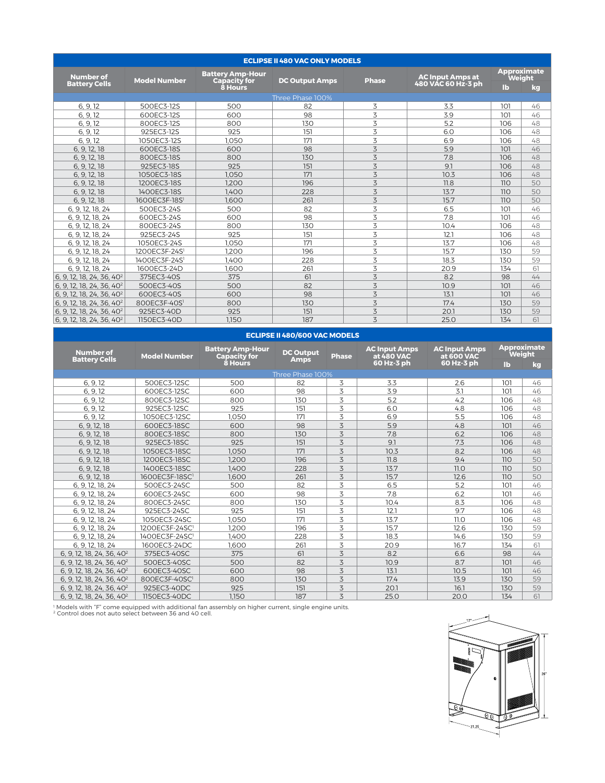| <b>ECLIPSE II 480 VAC ONLY MODELS</b> |                           |                                                |                       |              |                         |                                     |    |  |  |
|---------------------------------------|---------------------------|------------------------------------------------|-----------------------|--------------|-------------------------|-------------------------------------|----|--|--|
| <b>Number of</b>                      | <b>Model Number</b>       | <b>Battery Amp-Hour</b><br><b>Capacity for</b> | <b>DC Output Amps</b> | <b>Phase</b> | <b>AC Input Amps at</b> | <b>Approximate</b><br><b>Weight</b> |    |  |  |
| <b>Battery Cells</b>                  |                           | 8 Hours                                        |                       |              | 480 VAC 60 Hz-3 ph      | lb                                  | kg |  |  |
|                                       |                           |                                                | Three Phase 100%      |              |                         |                                     |    |  |  |
| 6.9.12                                | 500EC3-12S                | 500                                            | 82                    | 3            | 3.3                     | 101                                 | 46 |  |  |
| 6, 9, 12                              | 600EC3-12S                | 600                                            | 98                    | 3            | 3.9                     | 101                                 | 46 |  |  |
| 6.9.12                                | 800EC3-12S                | 800                                            | 130                   | 3            | 5.2                     | 106                                 | 48 |  |  |
| 6, 9, 12                              | 925EC3-12S                | 925                                            | 151                   | 3            | 6.0                     | 106                                 | 48 |  |  |
| 6, 9, 12                              | 1050EC3-12S               | 1.050                                          | 171                   | 3            | 6.9                     | 106                                 | 48 |  |  |
| 6, 9, 12, 18                          | 600EC3-18S                | 600                                            | 98                    | 3            | 5.9                     | 101                                 | 46 |  |  |
| 6, 9, 12, 18                          | 800EC3-18S                | 800                                            | 130                   | 3            | 7.8                     | 106                                 | 48 |  |  |
| 6, 9, 12, 18                          | 925EC3-18S                | 925                                            | 151                   | 3            | 9.1                     | 106                                 | 48 |  |  |
| 6, 9, 12, 18                          | 1050EC3-18S               | 1.050                                          | 171                   | 3            | 10.3                    | 106                                 | 48 |  |  |
| 6, 9, 12, 18                          | 1200EC3-18S               | 1.200                                          | 196                   | 3            | 11.8                    | 110                                 | 50 |  |  |
| 6, 9, 12, 18                          | 1400EC3-18S               | 1.400                                          | 228                   | 3            | 13.7                    | 110                                 | 50 |  |  |
| 6, 9, 12, 18                          | 1600EC3F-18S1             | 1.600                                          | 261                   | 3            | 15.7                    | 110                                 | 50 |  |  |
| 6, 9, 12, 18, 24                      | 500EC3-24S                | 500                                            | 82                    | 3            | 6.5                     | 101                                 | 46 |  |  |
| 6, 9, 12, 18, 24                      | 600EC3-24S                | 600                                            | 98                    | 3            | 7.8                     | 101                                 | 46 |  |  |
| 6, 9, 12, 18, 24                      | 800EC3-24S                | 800                                            | 130                   | 3            | 10.4                    | 106                                 | 48 |  |  |
| 6, 9, 12, 18, 24                      | 925EC3-24S                | 925                                            | 151                   | 3            | 12.1                    | 106                                 | 48 |  |  |
| 6, 9, 12, 18, 24                      | 1050EC3-24S               | 1.050                                          | 171                   | 3            | 13.7                    | 106                                 | 48 |  |  |
| 6, 9, 12, 18, 24                      | 1200EC3F-24S <sup>1</sup> | 1.200                                          | 196                   | 3            | 15.7                    | 130                                 | 59 |  |  |
| 6, 9, 12, 18, 24                      | 1400EC3F-24S <sup>1</sup> | 1.400                                          | 228                   | 3            | 18.3                    | 130                                 | 59 |  |  |
| 6, 9, 12, 18, 24                      | 1600EC3-24D               | 1.600                                          | 261                   | 3            | 20.9                    | 134                                 | 61 |  |  |
| 6, 9, 12, 18, 24, 36, 40 <sup>2</sup> | 375EC3-40S                | 375                                            | 61                    | 3            | 8.2                     | 98                                  | 44 |  |  |
| 6, 9, 12, 18, 24, 36, 40 <sup>2</sup> | 500EC3-40S                | 500                                            | 82                    | 3            | 10.9                    | 101                                 | 46 |  |  |
| 6, 9, 12, 18, 24, 36, 40 <sup>2</sup> | 600EC3-40S                | 600                                            | 98                    | 3            | 13.1                    | 101                                 | 46 |  |  |
| 6, 9, 12, 18, 24, 36, 40 <sup>2</sup> | 800EC3F-40S               | 800                                            | 130                   | 3            | 17.4                    | 130                                 | 59 |  |  |
| 6. 9. 12. 18. 24. 36. 40 <sup>2</sup> | 925EC3-40D                | 925                                            | 151                   | 3            | 20.1                    | 130                                 | 59 |  |  |
| 6, 9, 12, 18, 24, 36, 40 <sup>2</sup> | 1150EC3-40D               | 1.150                                          | 187                   | 3            | 25.0                    | 134                                 | 61 |  |  |

| ECLIPSE II 480/600 VAC MODELS            |                            |                                                |                  |              |                                    |                                    |                              |    |  |  |
|------------------------------------------|----------------------------|------------------------------------------------|------------------|--------------|------------------------------------|------------------------------------|------------------------------|----|--|--|
| <b>Number of</b><br><b>Battery Cells</b> | <b>Model Number</b>        | <b>Battery Amp-Hour</b><br><b>Capacity for</b> | <b>DC Output</b> | <b>Phase</b> | <b>AC Input Amps</b><br>at 480 VAC | <b>AC Input Amps</b><br>at 600 VAC | <b>Approximate</b><br>Weight |    |  |  |
|                                          |                            | 8 Hours                                        | <b>Amps</b>      |              | 60 Hz-3 ph                         | 60 Hz-3 ph                         | $\mathbf{I}$                 | kg |  |  |
|                                          |                            |                                                | Three Phase 100% |              |                                    |                                    |                              |    |  |  |
| 6, 9, 12                                 | 500EC3-12SC                | 500                                            | 82               | 3            | 3.3                                | 2.6                                | 101                          | 46 |  |  |
| 6, 9, 12                                 | 600EC3-12SC                | 600                                            | 98               | 3            | 3.9                                | 3.1                                | 101                          | 46 |  |  |
| 6, 9, 12                                 | 800EC3-12SC                | 800                                            | 130              | 3            | 5.2                                | 4.2                                | 106                          | 48 |  |  |
| 6, 9, 12                                 | 925EC3-12SC                | 925                                            | 151              | 3            | 6.0                                | 4.8                                | 106                          | 48 |  |  |
| 6, 9, 12                                 | 1050EC3-12SC               | 1.050                                          | 171              | 3            | 6.9                                | 5.5                                | 106                          | 48 |  |  |
| 6, 9, 12, 18                             | 600EC3-18SC                | 600                                            | 98               | 3            | 5.9                                | 4.8                                | 101                          | 46 |  |  |
| 6, 9, 12, 18                             | 800EC3-18SC                | 800                                            | 130              | 3            | 7.8                                | 6.2                                | 106                          | 48 |  |  |
| 6, 9, 12, 18                             | 925EC3-18SC                | 925                                            | 151              | 3            | 9.1                                | 7.3                                | 106                          | 48 |  |  |
| 6, 9, 12, 18                             | 1050EC3-18SC               | 1.050                                          | 171              | 3            | 10.3                               | 8.2                                | 106                          | 48 |  |  |
| 6, 9, 12, 18                             | 1200EC3-18SC               | 1.200                                          | 196              | 3            | 11.8                               | 9.4                                | 110                          | 50 |  |  |
| 6, 9, 12, 18                             | 1400EC3-18SC               | 1.400                                          | 228              | 3            | 13.7                               | 11.0                               | 110                          | 50 |  |  |
| 6, 9, 12, 18                             | 1600EC3F-18SC <sup>1</sup> | 1.600                                          | 261              | 3            | 15.7                               | 12.6                               | 110                          | 50 |  |  |
| 6, 9, 12, 18, 24                         | 500EC3-24SC                | 500                                            | 82               | 3            | 6.5                                | 5.2                                | 101                          | 46 |  |  |
| 6, 9, 12, 18, 24                         | 600EC3-24SC                | 600                                            | 98               | 3            | 7.8                                | 6.2                                | 101                          | 46 |  |  |
| 6, 9, 12, 18, 24                         | 800EC3-24SC                | 800                                            | 130              | 3            | 10.4                               | 8.3                                | 106                          | 48 |  |  |
| 6, 9, 12, 18, 24                         | 925EC3-24SC                | 925                                            | 151              | 3            | 12.1                               | 9.7                                | 106                          | 48 |  |  |
| 6, 9, 12, 18, 24                         | 1050EC3-24SC               | 1.050                                          | 171              | 3            | 13.7                               | 11.0                               | 106                          | 48 |  |  |
| 6, 9, 12, 18, 24                         | 1200EC3F-24SC <sup>1</sup> | 1.200                                          | 196              | 3            | 15.7                               | 12.6                               | 130                          | 59 |  |  |
| 6, 9, 12, 18, 24                         | 1400EC3F-24SC <sup>1</sup> | 1.400                                          | 228              | 3            | 18.3                               | 14.6                               | 130                          | 59 |  |  |
| 6, 9, 12, 18, 24                         | 1600EC3-24DC               | 1.600                                          | 261              | 3            | 20.9                               | 16.7                               | 134                          | 61 |  |  |
| 6, 9, 12, 18, 24, 36, 40 <sup>2</sup>    | 375EC3-40SC                | 375                                            | 61               | 3            | 8.2                                | 6.6                                | 98                           | 44 |  |  |
| 6, 9, 12, 18, 24, 36, 40 <sup>2</sup>    | 500EC3-40SC                | 500                                            | 82               | 3            | 10.9                               | 8.7                                | 101                          | 46 |  |  |
| 6, 9, 12, 18, 24, 36, 40 <sup>2</sup>    | 600EC3-40SC                | 600                                            | 98               | 3            | 13.1                               | 10.5                               | 101                          | 46 |  |  |
| 6, 9, 12, 18, 24, 36, 40 <sup>2</sup>    | 800EC3F-40SC <sup>1</sup>  | 800                                            | 130              | 3            | 17.4                               | 13.9                               | 130                          | 59 |  |  |
| 6, 9, 12, 18, 24, 36, 40 <sup>2</sup>    | 925EC3-40DC                | 925                                            | 151              | 3            | 20.1                               | 16.1                               | 130                          | 59 |  |  |
| 6. 9. 12. 18. 24. 36. 40 <sup>2</sup>    | 1150EC3-40DC               | 1.150                                          | 187              | 3            | 25.0                               | 20.0                               | 134                          | 61 |  |  |

1 Models with "F" come equipped with additional fan assembly on higher current, single engine units. 2 Control does not auto select between 36 and 40 cell.